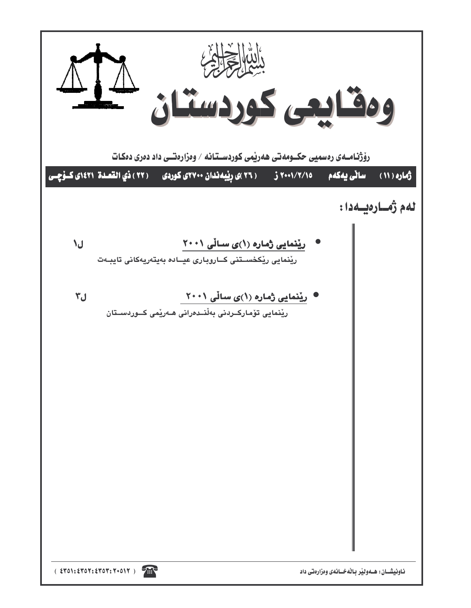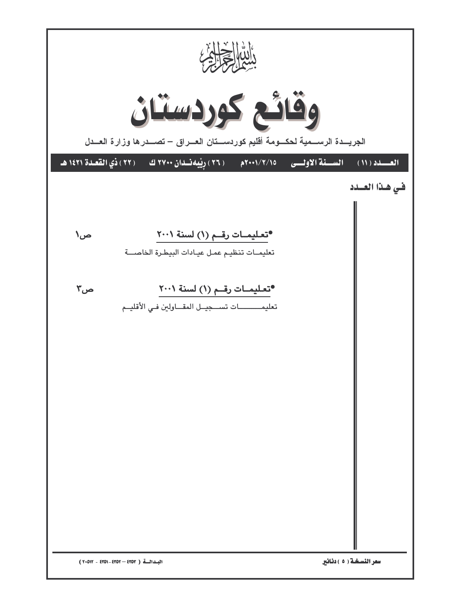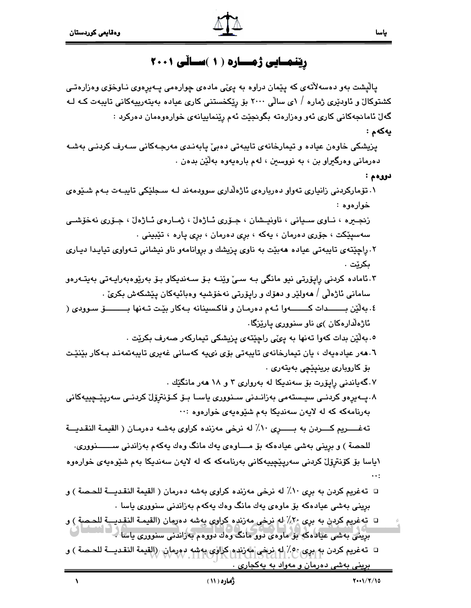# رینمسایی ژمساره ( ۱ )سسالّی ۲۰۰۱

پالیشت بهو دهسهلاٌتهی که پیّمان دراوه به پیّمی مادهی چوارهمی پـهیرهوی نـاوخوّی وهزارهتـی کشتوکال ّو ئاودێری ژماره / ۱ی سالّی ۲۰۰۰ بِق ریکخستنی کاری عیاده بهیتهرییهکانی تایبهت کـه لـه گەلْ ئامانجەكانى كارى ئەو وەزارەتە بگونجێت ئەم رێنماييانەي خوارەوەمان دەركرد :

يەكەم :

ياسا

پزیشکی خاوهن عیاده و تیمارخانهی تایبهتی دهبیّ پابهندی مهرجـهکانی سـهرف کردنـی بهشـه دەرمانى وەرگىراو بن ، بە نووسىن ، لەم بارەيەوە بەلێن بدەن .

- دووهم :
- ۰۱ تۆمارکردنی زانیاری تەواو دەربارەی ئاژەلداری سوودمەند لـه سـجلێکی تايبـەت بـەم شىێوەی خوارەوە :

زنجيره ، نياوى سيانى ، ناونيىشان ، جىۆرى ئىاژەل ، ژميارەي ئىاژەل ، جىۆرى نەخۆشىي سهسپێکت ، جۆرى دەرمان ، پەکە ، برى دەرمان ، برى پارە ، تێبینى .

- ۲. راچێتەي تايبەتى عيادە ھەبێت بە ناوي پزيشك و بروانامەو ناو نيشانى تـەواوي تياپـدا دىيـارى ىكرێت .
- ۳.ئاماده کردنی رایۆرتی نیو مانگی بـه سـیٰ وێنـه بـۆ سـهندیکاو بـۆ بەرێوەبەراپـەتی بەیتـەرەو ساماني ئاژەلى / ھەولێر و دھۆك و رايۆرتى نەخۆشىيە وەبائيەكان يێشكەش بكرێ .
- ٤. به لَيْن بـــــــدات كــــــــهوا ئـهم دهرمـان و فاكـسينانه بـهكار بيّـت تـهنها بــــــــــــق سـوودي ( ئاژەلدارەكان )ى ناو سنوورى يارێزگا.

۰. بەلێن بدات كەوا تەنھا بە يىمّى راچێتەي پزيشكى تيماركەر صەرف بكرێت .

٦.ﻫﻪﺭ ﻋﻴﺎﺩﻩﻳﻪﻙ ، ﻳﺎﻥ ﺗﻴﻤﺎﺭﺧﺎﻧﻪﻯ ﺗﺎﻳﺒﻪﺗﻰ ﺑﯚﻯ ﻧﻰﻳﻪ ﻛﻪﺳﺎﻧﻰ ﻏﻪﻳﺮﻯ ﺗﺎﻳﺒﻪﺗﻤﻪﻧﺪ ﺑﻪﻛﺎﺭ ﺑﯚﻧﯚﺕ بۆ كاروبارى برينيێچى بەيتەرى .

۰۷گەياندنى رايۆرت بۆ سەندىكا لە بەروارى ۳ و ۱۸ ھەر مانگێك .

۸.پــەیرەو کردنــی سیــستەمی بەزانــدنی ســنووری یاســا بــۆ کــۆنترۆل کردنــی سەریێـحییپەکانی بهرنامهکه که له لايهن سهنديکا بهم شێوهيهى خوارهوه :٠٠

تەغـــــريم كــــردن به بــــــرى ١٠٪ له نرخي مەزندە كراوي بەشــه دەرمـان ( القيمـة النقـديـــة

للحصة ) و بريني بەشى عيادەكە بۆ مــــاوەي يەك مانگ وەك يەكەم بەزاندنى ســـــــنوورى. ١ياسا بۆ كۆنترۆل كردنى سەريێچيپەكانى بەرنامەكە كە لە لايەن سەندىكا بەم شێوەپەي خوارەوە

- □ تهغريم كردن به برى ١٠٪ له نرخى مهزنده كراوى بهشه دهرمان ( القيمة النقديـــة للحـصة ) و برینی بهشی عیادهکه بۆ ماوهی یهك مانگ وهك یهکهم بهزاندنی سنووری یاسا ٠
- □ ته غريم كردن به برى 7٪ له نرخى مەزندە كراوي بەشە دەرمان (القيمـة النقـديـــة للحـصة ) و برینی بهشی عیادهکه بو ماوهی دوو مانگ وهك دووهم بهزاندنی سنووری پاسا کی انساطاتی

□ تەغريم كردن بە برى، 25/ 4، نرخى مەزندە كراوى بەشە دورمان رالقيمة النقديـــة للحـصة ) و <u>بريني بهشي دهرمان و مهواد به پهکجاري .</u>

 $\lambda$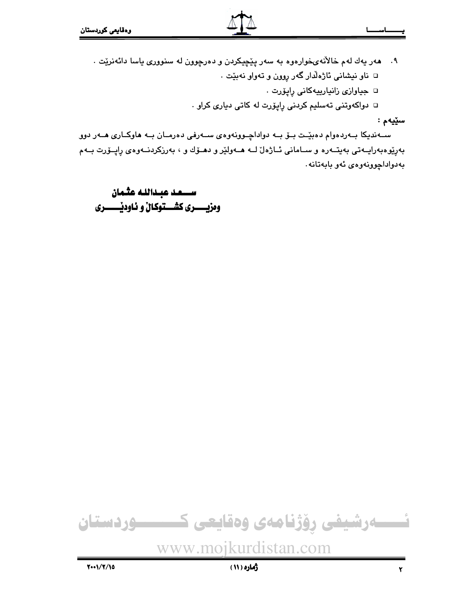- ۹. ههر يهك لهم خالآنهىخوارهوه به سهر پێچیکردن و دهرچوون له سنووری ياسا دائهنرێت . □ ناو نيشاني ئاژەلدار گەر روون و تەواو نەبێت .
	- □ جياوازى زانيارييەكانى راپۆرت .
	- □ دواکهوتنی تهسلیم کردنی راپۆرت له کاتی دیاری کراو .

#### سێڽە :

ســهنديکا بــهردهوام دهبێـت بــوّ بــه دواداچــوونهوهى ســهرفى دهرمــان بــه هاوکــارى هــهر دوو بەرێوەبەراپــەتى بەيتــەرە و ســامانى ئــاژەل ّلــە ھــەولێر و دھــۆك و ، بەرزكردنــەوەى راپــۆرت بــەم بەدواداچوونەوەي ئەو بابەتانە.

وهزيـــــري كشـــتوكـالٌ و نـاوديْـــــــري

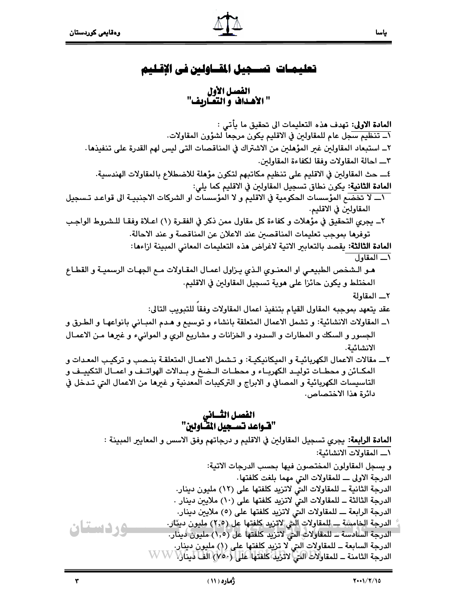# تعليمـات تســجيل المقــاولـىن في الإقـليم

الفصل الأول " الأهداف و التعَـّاريف"

المادة الاولى: تهدف هذه التعليمات الى تحقيق ما يأتي : ١\_ تنظيم سجل عام للمقاولين في الاقليم يكون مرجعا لشؤون المقاولات. ٢\_ استبعاد المقاولين غير المؤهلين من الاشتراك في المناقصات التي ليس لهم القدرة على تنفيذها . ٣\_ احالة المقاولات وفقا لكفاءة المقاولين. ٤\_ حث المقاولين في الاقليم على تنظيم مكاتبهم لتكون مؤهلة للاضطلاع بالمقاولات الهندسية. المادة الثانية: يكون نطاق تسجيل المقاولين في الاقليم كما يلي: الله لا تخضع المؤسسات الحكومية في الاقليم و لا المؤسسات او الشركات الاجنبيـة الى قواعـد تـسجيل المقاولين في الاقليم. ٢\_ يجري التحقيق في مؤهلات و كفاءة كل مقاول ممن ذكر في الفقـرة (١) اعـلاة وفقـا للـشروط الواجـب توفرها بموجب تعليمات المناقصين عند الاعلان عن المناقصة و عند الاحالة. المادة الثالثة: يقصد بالتعابير الاتية لاغراض هذه التعليمات المعاني المبينة ازاءها: (\_ المقاول هـو الـشخص الطبيعـي او المعنـوي الـذي يـزاول اعمـال المقـاولات مـم الجهـات الرسميـة و القطـاع المختلط و يكون حائزا على هوية تسجيل المقاولين في الاقليم. ٢\_\_ المقاولة عقد يتعهد بموجبه المقاول القيام بتنفيذ اعمال المقاولات وفقا للتبويب التالى: ١\_ المقاولات الانشائية: و تشمل الاعمال المتعلقة بانشاء و توسيع و هـدم المبـاني بانواعهـا و الطـرق و الجسور و السكك و المطارات و السدود و الخزانات و مشاريع الري و الموانيء و غيرها مـن الاعمـال الانشائىة. ٢ــ مقالات الاعمال الكهربائيـة و الميكانيكيـة: و تـشمل الاعمـال المتعلقـة بنـصب و تركيـب المعـدات و المكـائن و محطـات توليـد الكهربـاء و محطـات الـضخ و بـدالات الهواتـف و اعمـال التكييـف و التاسيسات الكهربائية و المصافي و الابراج و التركيبات المعدنية و غيرها من الاعمال التي تـدخل في دائرة هذا الاختصاص. الفصل الثـــاني<br>"فــّـواعد تســجيل المقــاولين" ا**لمادة الرابعة**: يجري تسجيل المقاولين في الاقليم و درجاتهم وفق الاسس و المعايير المبينة : ١\_ المقاولات الانشائية: و يسجل المقاولون المختصون فيها بحسب الدرجات الاتية: الدرجة الاولى ــــ للمقاولات التي مهما بلغت كلفتها. الدرجة الثانية \_ للمقاولات التي لاتزيد كلفتها على (١٢) مليون دينار. الدرجة الثالثة \_ للمقاولات التي لاتزيد كلفتها على (١٠) ملايين دينار . الدرجة الرابعة ـــ للمقاولات التي لاتزيد كلفتها على (٥) ملايين دينار. الدرجة الخامسة ـــ للمقاولات الش لاتريد كلفتها عل (٢,٥) مليون دينار. وردستان الدرجة السادسة ــ للمقاولات التي لاتريد كلفتها عل (١,٥) مليون دينار. الدرجة السابعة ــ للمقاولات التي لا تزيد كلفتها على (ل) مليون دينار. الدرجة الثامنة \_ للمقاولات اللي لاترية كلفتها على لا مكان الفاتلين WWW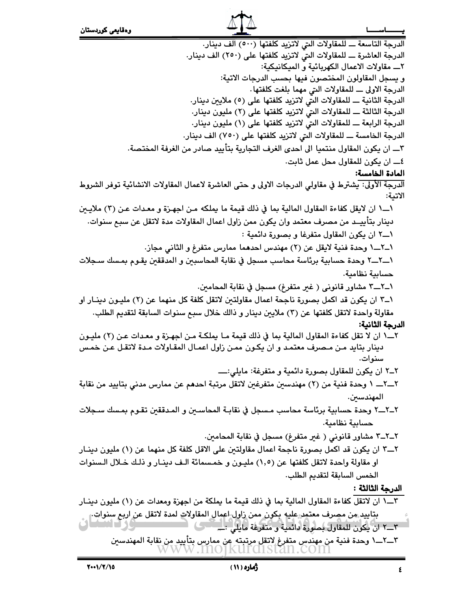الدرجة التاسعة ـ للمقاولات التي لاتزيد كلفتها (٥٠٠) الف دينار. الدرجة العاشرة ـ للمقاولات التي لاتزيد كلفتها على (٢٥٠) الف دينار. ٢ـــ مقاولات الاعمال الكهربائية و الميكانيكية: و يسجل المقاولون المختصون فيها بحسب الدرجات الاتية: الدرجة الاولى ــــ للمقاولات التي مهما بلغت كلفتها. الدرجة الثانية ـ للمقاولات التي لاتزيد كلفتها على (٥) ملايين دينار. الدرجة الثالثة ـــ للمقاولات التي لاتزيد كلفتها على (٢) مليون دينار. الدرجة الرابعة ـــ للمقاولات التي لاتزيد كلفتها على (١) مليون دينار. الدرجة الخامسة ـ للمقاولات التي لاتزيد كلفتها على (٧٥٠) الف دينار. ٣ـــ ان يكون المقاول منتميا الى احدى الغرف التجارية بتأييد صادر من الغرفة المختصة. ٤ـــ ان يكون للمقاول محل عمل ثابت. المادة الخامسة: الدرجة الأولى: يشترط في مقاولي الدرجات الاولى و حتى العاشرة لاعمال المقاولات الانشائية توفر الشروط الاتية: ١ـــ١ ان لايقل كفاءة المقاول المالية بما في ذلك قيمة ما يملكه مـن اجهـزة و معـدات عـن (٣) ملايـين دينار بتأييــد من مصرف معتمد وان يكون ممن زاول اعمال المقاولات مدة لاتقل عن سبع سنوات. ١ـــ٢ ان يكون المقاول متفرغا و بصورة دائمية : ١\_٢\_١ وحدة فنية لايقل عن (٢) مهندس احدهما ممارس متفرغ و الثاني مجاز. ١ــ٦ــ٦ وحدة حسابية برئاسة محاسب مسجل في نقابة المحاسبين و المدققين يقـوم بمـسك سـجلات حسابية نظامية. ١\_٢\_\_٣ مشاور قانوني ( غير متفرغ) مسجل في نقابة المحامين. ١ــ٣ ان يكون قد اكمل بصورة ناجحة اعمال مقاولتين لاتقل كلفة كل منهما عن (٢) مليـون دينـار او مقاولة واحدة لاتقل كلفتها عن (٣) ملايين دينار و ذالك خلال سبع سنوات السابقة لتقديم الطلب. الدرجة الثانية: ٢\_\_١ ان لا تقل كفاءة المقاول المالية بما في ذلك قيمة مـا يملكـة مـن اجهـزة و معـدات عـن (٢) مليـون دينار بتايد مـن مـصرف معتمـد و ان يكـون ممـن زاول اعمـال المقـاولات مـدة لاتقـل عـن خمـس سنوات. ٢\_\_٢\_ ١ وحدة فنية من (٢) مهندسين متفرغين لاتقل مرتبة احدهم عن ممارس مدنى بتاييد من نقابة المهندسين. ٢\_٢\_٢ وحدة حسابية برئاسة محاسب مسجل في نقابـة المحاسـين و المـدققين تقـوم بمـسك سـجلات حسابية نظامية. ٢\_٢\_٣ مشاور قانوني ( غير متفرغ) مسجل في نقابة المحامين. ٢\_\_٣ ان يكون قد اكمل بصورة ناجحة اعمال مقاولتين على الاقل كلفة كل منهما عن (١) مليون دينــار او مقاولة واحدة لاتقل كلفتها عن (١,٥) مليـون و خمـسمائة الـف دينـار و ذلـك خـلال الـسنوات الخمس السابقة لتقديم الطلب. الدرجة الثالثة : بتاييد من مصرف معتمد عليه بكون ممن زاول اعمال المقاولات لمدة لاتقل عن اربع سنوات. 

KUT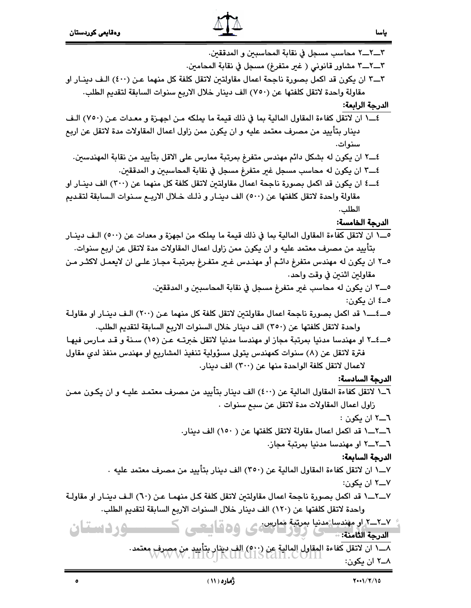$\bullet$ 



٣ـــ٦ـــ٦ محاسب مسجل في نقابة المحاسبين و المدققين. ٣\_\_٢\_\_٣ مشاور قانوني ( غير متفرغ) مسجل في نقابة المحامين. ٣ــــ٣ ان يكون قد اكمل بصورة ناجحة اعمال مقاولتين لاتقل كلفة كل منهما عـن (٤٠٠) الـف دينــار او مقاولة واحدة لاتقل كلفتها عن (٧٥٠) الف دينار خلال الاربع سنوات السابقة لتقديم الطلب. الدرجة الرابعة: ٤\_\_١ ان لاتقل كفاءة المقاول المالية بما في ذلك قيمة ما يملكه مـن اجهـزة و معـدات عـن (٧٥٠) الـف

- دينار بتأييد من مصرف معتمد عليه و ان يكون ممن زاول اعمال المقاولات مدة لاتقل عن اربع سنو ات.
	- ٤\_\_٢ ان يكون له بشكل دائم مهندس متفرغ بمرتبة ممارس على الاقل بتأييد من نقابة المهندسين.
		- ٤ـــــــ٣ ان يكون له محاسب مسجل غير متفرغ مسجل في نقابة المحاسبين و المدققين.
- ٤ــــ٤ ان يكون قد اكمل بصورة ناجحة اعمال مقاولتين لاتقل كلفة كل منهما عن (٣٠٠) الف دينــار او مقاولة واحدة لاتقل كلفتها عن (٥٠٠) الف دينـار و ذلـك خـلال الاربـم سـنوات الـسابقة لتقـديم الطلب.

# الدرجة الخامسة:

- 0\_\_١ ان لاتقل كفاءة المقاول المالية بما في ذلك قيمة ما يملكه من اجهزة و معدات عن (٥٠٠) الـف دينــار بتأييد من مصرف معتمد عليه و ان يكون ممن زاول اعمال المقاولات مدة لاتقل عن اربع سنوات.
- 0\_٢ ان يكون له مهندس متفرغ دائـم أو مهنـدس غـير متفـرغ بمرتبــة مجـاز علـي ان لايعمـل لاكثـر مـن مقاولين اثنين في وقت واحد.
	- 0\_\_٣ ان يكون له محاسب غير متفرغ مسجل في نقابة المحاسبين و المدققين. ٥\_٤ ان ڪون:
- 0\_\_٤\_\_١ قد اكمل بصورة ناجحة اعمال مقاولتين لاتقل كلفة كل منهما عـن (٢٠٠) الـف دينـار او مقاولـة واحدة لاتقل كلفتها عن (٣٥٠) الف دينار خلال السنوات الاربع السابقة لتقديم الطلب.
- 0\_٤\_٢ او مهندسا مدنيا بمرتبة مجاز او مهندسا مدنيا لاتقل خبرتـه عـن (١٥) سـنة و قـد مـارس فيهـا فترة لاتقل عن (٨) سنوات كمهندس يتولى مسؤولية تنفيذ المشاريع او مهندس منفذ لدى مقاول لاعمال لاتقل كلفة الواحدة منها عن (٣٠٠) الف دينار.

# الدرحة السادسة:

- ٦\_١ لاتقل كفاءة المقاول المالية عن (٤٠٠) الف دينار بتأييد من مصرف معتمد عليـه و ان يكـون ممـن زاول اعمال المقاولات مدة لاتقل عن سبح سنوات .
	- ٦\_\_۲ ان یکون :
	- ٦\_\_٢\_\_١ قد اكمل اعمال مقاولة لاتقل كلفتها عن ( ١٥٠) الف دينار.
		- ٦\_\_٢\_\_٢ او مهندسا مدنيا بمرتبة مجاز.

# الدرجة السابعة:

- - ۷ـــ۲ ان یکون:
- ٧ـــ٢ــــ١ قد اكمل بصورة ناجحة اعمال مقاولتين لاتقل كلفة كـل منهمـا عـن (٦٠) الـف دينــار او مقاولـة واحدة لاتقل كلفتها عن (١٢٠) الف دينار خلال السنوات الاربع السابقة لتقديم الطلب.

<u>٢-٢-٢ او مهندسا مدنيا بمرتبة معارس عي ٥٥ قامت ك</u> ــــوردستان

الدرجة الثامنة: •

۸ــ۲ ان یکون: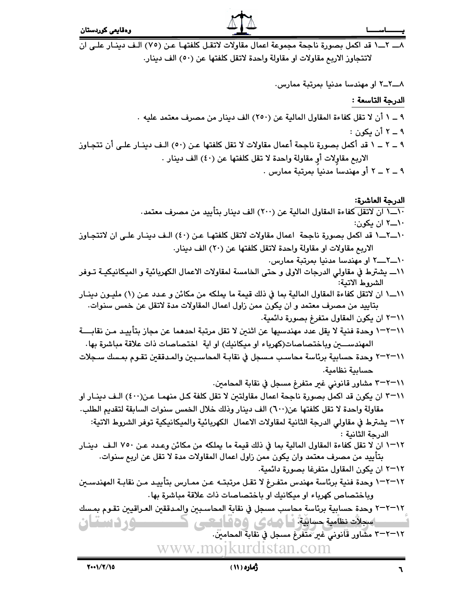٨ـــ ٢ــ ١ قد اكمل بصورة ناجحة مجموعة اعمال مقاولات لاتقل كلفتها عن (٧٥) الـف دينـار علـى ان لاتتجاوز الاربع مقاولات او مقاولة واحدة لاتقل كلفتها عن (٥٠) الف دينار.

۹ ــ ۲ ــ ۲ أو مهندسا مدنيا بمرتبة ممارس .

www.mojkurdistan.com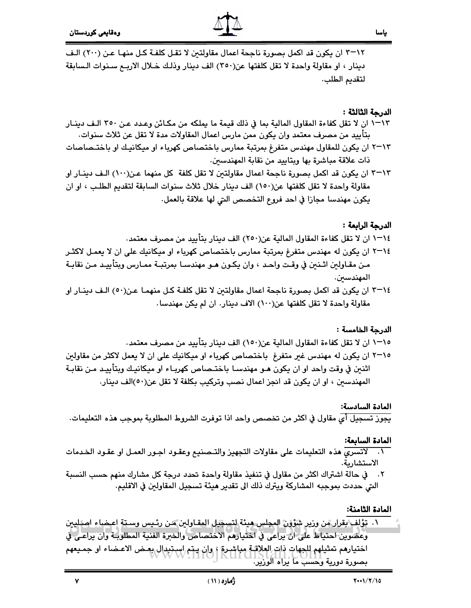٠١٢–٣ ان يكون قد اكمل بصورة ناجحة اعمال مقاولتين لا تقـل كلفـة كـل منهـا عـن (٢٠٠) الـف دينار ، او مقاولة واحدة لا تقل كلفتها عن(٣٥٠) الف دينار وذلك خـلال الاربـم سـنوات الـسابقة لتقديم الطلب.

### الدرجة الثالثة :

- ١٣-١ ان لا تقل كفاءة المقاول المالية بما في ذلك قيمة ما يملكه من مكـائن وعـدد عـن ٣٥٠ الـف دينـار بتأييد من مصرف معتمد وان يكون ممن مارس اعمال المقاولات مدة لا تقل عن ثلاث سنوات.
- ٢٦-٢ ان يكون للمقاول مهندس متفرغ بمرتبة ممارس باختصاص كهرباء او ميكانيك او باختـصاصات ذات علاقة مباشرة بها ويتاييد من نقابة المهندسين.
- ٣٦٦٣ ان يكون قد اكمل بصورة ناجحة اعمال مقاولتين لا تقل كلفة كل منهما عن(١٠٠) الـف دينـار او مقاولة واحدة لا تقل كلفتها عن(١٥٠) الف دينار خلال ثلاث سنوات السابقة لتقديم الطلب ، او ان يكون مهندسا مجازا في احد فروع التخصص التي لها علاقة بالعمل.

#### الدرجة الرابعة :

- ١٤–١ ان لا تقل كفاءة المقاول المالية عن(٢٥٠) الف دينار بتأييد من مصرف معتمد.
- ٢-٢١ ان يكون له مهندس متفرغ بمرتبة ممارس باختصاص كهرباء او ميكانيك على ان لا يعمـل لاكثـر مـن مقـاولين اثـنـين في وقـت واحـد ، وان يكـون هـو مهندسـا بمرتبـة ممـارس وبتأييـد مـن نقابـة المهندسين.
- ٢-٢ ان يكون قد اكمل بصورة ناجحة اعمال مقاولتين لا تقل كلفـة كـل منهمـا عـن(٥٠) الـف دينـار او مقاولة واحدة لا تقل كلفتها عن(١٠٠) الاف دينار. ان لم يكن مهندسا.

#### الدرجة الخامسة :

- ١٥–١ ان لا تقل كفاءة المقاول المالية عن(١٥٠) الف دينار بتأييد من مصرف معتمد.
- ٢٦٥ ان يكون له مهندس غير متفرغ باختصاص كهرباء او ميكانيك على ان لا يعمل لاكثر من مقاولين اثنين في وقت واحد او ان يكون هـو مهندسـا باختـصاص كهربـاء او ميكانيـك وبتأييـد مـن نقابـة المهندسين ، او ان يكون قد انجز اعمال نصب وتركيب بكلفة لا تقل عن(٥٠)الف دينار.

#### المادة السادسة:

يجوز تسجيل أي مقاول في اكثر من تخصص واحد اذا توفرت الشروط المطلوبة بموجب هذه التعليمات.

#### المادة السابعة:

- ٠١. لاتسرى هذه التعليمات على مقاولات التجهيز والتـصنيع وعقـود اجـور العمـل او عقـود الخـدمات الاستشارىة.
- ٢. في حالة اشتراك اكثر من مقاول في تنفيذ مقاولة واحدة تحدد درجة كل مشارك منهم حسب النسبة التي حددت بموجبه المشاركة ويترك ذلك الى تقدير هيئة تسجيل المقاولين في الاقليم.

#### المادة الثامنة:

١. تؤلف بقرار من وزير شؤون المجلس هيئة لتسجيل المقـاولين مـن رئـيس وسـتة اعـضاء اصلليين وعضوين احتياط على ان يراعي في اختيارهم الاختصاص والخبرة الفنية المطلوبـة وان يراعـي في اختيارهم تمثيلهم للجهات ذات العلاقية مباشرة ؛ وإن يتم استبدال بعض الاعضاء او جميعهم بصورة دورية وَحَسَبَ مَا يُرَاهَ الوَرْيَرَ.

 $\mathbf{v}$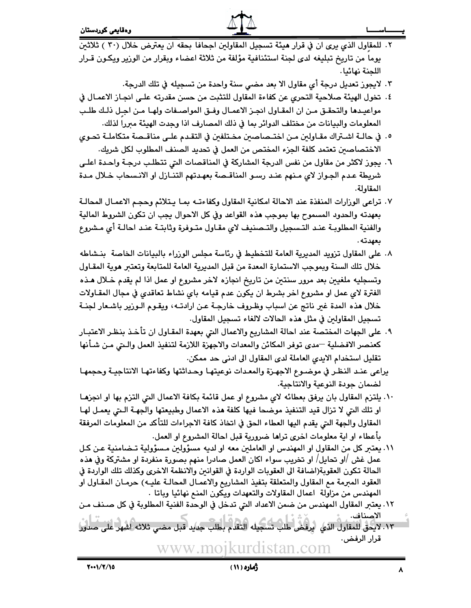- ٢. للمقاول الذي يرى ان في قرار هيئة تسجيل المقاولين اجحافا بحقه ان يعترض خلال (٣٠ ) ثلاثين يوما من تاريخ تبليغه لدى لجنة استئنافية مؤلفة من ثلاثة اعضاء وبقرار من الوزير ويكـون قـرار اللحنة نهائيا.
	- ٣. لايجوز تعديل درجة أى مقاول الا بعد مضى سنة واحدة من تسجيله في تلك الدرجة.
- ٤. تخول الهيئة صلاحية التحري عن كفاءة المقاول للتثبت من حسن مقدرته علـى انجـاز الاعمـال في مواعيدها والتحقـق مـن ان المقـاول انجـز الاعمـال وفـق المواصـفات ولهـا مـن اجـل ذلـك طلـب المعلومات والبيانات من مختلف الدوائر بما في ذلك المصارف اذا وجدت الهيئة مبررا لذلك.
- ٥. في حالــة اشــتراك مقــاولين مــن اختــصاصين مخـتلفين في التقـدم علــي مناقــصة متكاملــة تحـوي الاختصاصين تعتمد كلفة الجزء المختص من العمل في تحديد الصنف المطلوب لكل شريك.
- ٦. يجوز لاكثر من مقاول من نفس الدرجة المشاركة في المناقصات التي تتطلب درجـة واحـدة اعلـي شريطة عـدم الجـواز لاى مـنهم عنـد رسـو المناقـصة بعهـدتهم التنـازل او الانـسحاب خـلال مـدة المقاولة.
- ٧. تراعى الوزارات المنفذة عند الاحالة امكانية المقاول وكفاءتـه بمـا يـتلائم وحجـم الاعمـال المحالـة بعهدته والحدود المسموح بها بموجب هذه القواعد وفي كل الاحوال يجب ان تكون الشروط المالية والفنية المطلوبـة عنـد التـسجيل والتـصنيف لاى مقـاول متـوفرة وثابتـة عنـد احالـة أى مـشروع ىعھدتە .
- ٨. على المقاول تزويد المديرية العامة للتخطيط في رئاسة مجلس الورراء بالبيانات الخاصة بنـشاطه خلال تلك السنة ويموجب الاستمارة المعدة من قبل المديرية العامة للمتابعة وتعتبر هوية المقـاول وتسجليه ملغيين بعد مرور سنتين من تاريخ انجازه لاخر مشروع او عمل اذا لم يقدم خـلال هـذه الفترة لاى عمل او مشروع اخر بشرط ان يكون عدم قيامه باى نشاط تعاقدى في مجال المقـاولات خلال هذه المدة غير ناتج عن اسباب وظروف خارجـة عـن ارادتــه، ويقـوم الـوزير باشـعار لجنــة تسجيل المقاولين في مثل هذه الحالات لالغاء تسجيل المقاول.
- ٩. على الجهات المختصة عند احالة المشاريع والاعمال التي بعهدة المقـاول ان تأخـذ بنظـر الاعتبـار كعنصر الافضلية —مدى توفر المكائن والمعدات والاجهزة اللازمة لتنفيذ العمل والـتي مـن شـأنها تقليل استخدام الايدي العاملة لدى المقاول الى ادنى حد ممكن.
- يراعى عنـد النظـر في موضـوع الاجهـزة والمعـدات نوعيتهـا وحـداثتها وكفاءتهـا الانتاجيـة وحجمهـا لضمان جودة النوعية والانتاجية.
- ١٠. يلتزم المقاول بان يرفق بعطائه لاى مشروع او عمل قائمة بكافة الاعمال التي التزم بها او انجزهـا او تلك التي لا تزال قيد التنفيذ موضحا فيها كلفة هذه الاعمال وطبيعتها والجهـة الـتي يعمـل لهـا المقاول والجهة التي يقدم اليها العطاء الحق في اتخاذ كافة الاجراءات للتأكد من المعلومات المرفقة بأعطاء او اية معلومات اخرى تراها ضرورية قبل احالة المشروع او العمل.
- ١١. يعتبر كل من المقاول او المهندس او العاملين معه او لديه مسؤولين مسؤولية تـضامنية عـن كـل عمل غش /او تحايل/ او تخريب سواء اكان العمل صادرا منهم بصورة منفردة او مشتركة وفي هذه الحالة تكون العقوبة(اضافة الى العقوبات الواردة في القوانين والانظمة الاخرى وكذلك تلك الواردة في العقود المبرمة مم المقاول والمتعلقة بتفيذ المشاريم والاعمـال المحالـة عليـه) حرمـان المقـاول او المهندس من مزاولة اعمال المقاولات والتعهدات ويكون المنع نهائيا وباتا ·
- ١٢. يعتبر المقاول المهندس من ضمن الاعداد التي تدخل في الوحدة الفنية المطلوبة في كل صـنف مـن الاصناف.
- ١٣. لا يحق للمقاول الذي يرفض طلب تسجيله التقدم بطلب جديد قبل مضى ثلاثه اشهر على صدور قرار الرفض. www.mojkurdistan.com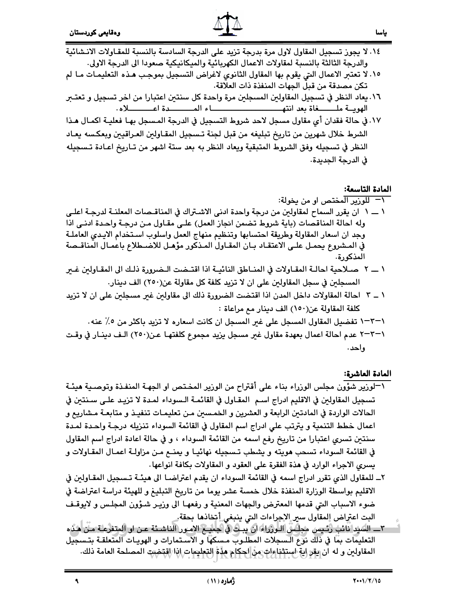- ١٤. لا يجوز تسجيل المقاول لاول مرة بدرجة تزيد على الدرجة السادسة بالنسبة للمقـاولات الانـشائية والدرجة الثالثة بالنسبة لمقاولات الاعمال الكهربائية والميكانيكية صعودا الى الدرجة الاولى.
- ١٥. لا تعتبر الاعمال التي يقوم بها المقاول الثانوي لاغراض التسجيل بموجب هـذه التعليمـات مـا لم تكن مصدقة من قبل الجهات المنفذة ذات العلاقة.
- ٠١٦. يعاد النظر في تسجيل المقاولين المسجلين مرة واحدة كل سنتين اعتبارا من اخر تسجيل و تعتـبر
- ١٧. في حالة فقدان أي مقاول مسجل لاحد شروط التسجيل في الدرجة المسجل بهـا فعليـة اكمـال هـذا الشرط خلال شهرين من تاريخ تبليغه من قبل لجنة تـسجيل المقـاولين العـراقيين وبعكسه يعـاد النظر في تسجيله وفق الشروط المتبقية ويعاد النظر به بعد ستة اشهر من تـاريخ اعـادة تـسجيله ڧ الدرجة الجديدة.

## المادة التاسعة:

- <del>1</del> للوزير المختص أو من يخولة: ١ ـــ ١ ان يقرر السماح لمقاولين من درجة واحدة ادنى الاشـتراك في المناقـصات المعلنــة لدرجــة اعلــي وله احالة المناقصات (باية شروط تضمن انجاز العمل) على مقـاول مـن درجـة واحـدة ادنـى اذا وجد ان اسعار المقاولة وطريقة احتسابها وتنظيم منهاج العمل واسلوب اسـتخدام الايـدي العاملـة في المـشروع يحمـل علـى الاعتقـاد بـان المقـاول المـذكور مؤهـل للاضـطلاع باعمـال المناقـصة المذكورة.
- ١ ـــ ٢ صـلاحية احالــة المقـاولات في المنــاطق النائيــة اذا اقتــضت الـضرورة ذلـك الى المقـاولين غــير المسجلين في سجل المقاولين على ان لا تزيد كلفة كل مقاولة عن(٢٥٠) الف دينار.
- ١ \_ ٣ | احالة المقاولات داخل المدن اذا اقتضت الضرورة ذلك الى مقاولين غير مسجلين على ان لا تزيد كلفة المقاولة عن(١٥٠) الف دينار مع مراعاة :
	- ١–٣–١ تفضيل المقاول المسجل على غير المسجل ان كانت اسعاره لا تزيد باكثر من ٥٪ عنه.
- ١–٢٣ عدم احالة اعمال بعهدة مقاول غير مسجل يزيد مجموع كلفتهـا عـن(٢٥٠) الـف دينــار في وقـت و احد .

## المادة العاشرة:

- \−لوزير شؤون مجلس الوزراء بناء على أقتراح من الوزير المختص او الجهـة المنفـذة وتوصـية هيئـة تسجيل المقاولين في الاقليم ادراج اسـم المقـاول في القائمـة الـسوداء لمـدة لا تزيـد علـى سـنتين في الحالات الواردة في المادتين الرابعة و العشرين و الخمسين مـن تعليمـات تنفيـذ و متابعـة مـشاريع و اعمال خطط التنمية و يترتب على ادراج اسم المقاول في القائمة السوداء تنزيله درجـة واحـدة لمـدة سنتين تسري اعتبارا من تاريخ رفع اسمه من القائمة السوداء ، و في حالة اعادة ادراج اسم المقاول في القائمة السوداء تسحب هويته و يشطب تـسجيله نهائيـا و يمنــع مـن مزاولــة اعمـال المقـاولات و يسرى الاجراء الوارد في هذة الفقرة على العقود و المقاولات بكافة انواعها .
- ٢ــ للمقاول الذي تقرر ادراج اسمه في القائمة السوداء ان يقدم اعتراضـا الى هيئــة تـسجيل المقـاولين في الاقليم بواسطة الوزارة المنفذة خلال خمسة عشر يوما من تاريخ التبليغ و للهيئة دراسة اعتراضة في ضوء الاسباب التي قدمها المعترض والجهات المعنية و رفعهـا الى وزيـر شـؤون المجلـس و لايوقـف البت اعتراض المقاول سير الاجراءات التي ينبغي أتخاذها بحقة.
- التعليمات بمّا في ذَلَك نَوْعَ الـسجلات المطلـوب مـسكها و الاسـتمارات و الهويـات المتعلقـة بتـسجيل المقاولين و له ان يقر اية استثناءات من احكام هذة التعليمات إنا اقتضيت المصلحة العامة ذلك.